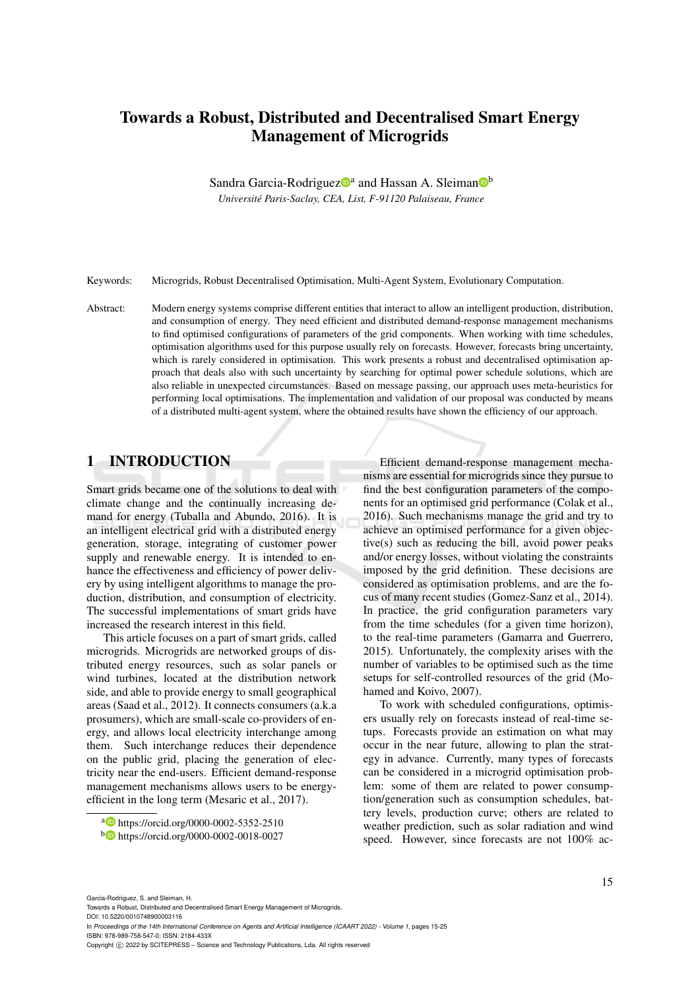# Towards a Robust, Distributed and Decentralised Smart Energy Management of Microgrids

Sandra Garcia-Rodriguez<sup>oa</sup> and Hassan A. Sleiman<sup>ob</sup>

*Universite Paris-Saclay, CEA, List, F-91120 Palaiseau, France ´*

Keywords: Microgrids, Robust Decentralised Optimisation, Multi-Agent System, Evolutionary Computation.

Abstract: Modern energy systems comprise different entities that interact to allow an intelligent production, distribution, and consumption of energy. They need efficient and distributed demand-response management mechanisms to find optimised configurations of parameters of the grid components. When working with time schedules, optimisation algorithms used for this purpose usually rely on forecasts. However, forecasts bring uncertainty, which is rarely considered in optimisation. This work presents a robust and decentralised optimisation approach that deals also with such uncertainty by searching for optimal power schedule solutions, which are also reliable in unexpected circumstances. Based on message passing, our approach uses meta-heuristics for performing local optimisations. The implementation and validation of our proposal was conducted by means of a distributed multi-agent system, where the obtained results have shown the efficiency of our approach.

# 1 INTRODUCTION

Smart grids became one of the solutions to deal with climate change and the continually increasing demand for energy (Tuballa and Abundo, 2016). It is an intelligent electrical grid with a distributed energy generation, storage, integrating of customer power supply and renewable energy. It is intended to enhance the effectiveness and efficiency of power delivery by using intelligent algorithms to manage the production, distribution, and consumption of electricity. The successful implementations of smart grids have increased the research interest in this field.

This article focuses on a part of smart grids, called microgrids. Microgrids are networked groups of distributed energy resources, such as solar panels or wind turbines, located at the distribution network side, and able to provide energy to small geographical areas (Saad et al., 2012). It connects consumers (a.k.a prosumers), which are small-scale co-providers of energy, and allows local electricity interchange among them. Such interchange reduces their dependence on the public grid, placing the generation of electricity near the end-users. Efficient demand-response management mechanisms allows users to be energyefficient in the long term (Mesaric et al., 2017).

Efficient demand-response management mechanisms are essential for microgrids since they pursue to find the best configuration parameters of the components for an optimised grid performance (Colak et al., 2016). Such mechanisms manage the grid and try to achieve an optimised performance for a given objective(s) such as reducing the bill, avoid power peaks and/or energy losses, without violating the constraints imposed by the grid definition. These decisions are considered as optimisation problems, and are the focus of many recent studies (Gomez-Sanz et al., 2014). In practice, the grid configuration parameters vary from the time schedules (for a given time horizon), to the real-time parameters (Gamarra and Guerrero, 2015). Unfortunately, the complexity arises with the number of variables to be optimised such as the time setups for self-controlled resources of the grid (Mohamed and Koivo, 2007).

To work with scheduled configurations, optimisers usually rely on forecasts instead of real-time setups. Forecasts provide an estimation on what may occur in the near future, allowing to plan the strategy in advance. Currently, many types of forecasts can be considered in a microgrid optimisation problem: some of them are related to power consumption/generation such as consumption schedules, battery levels, production curve; others are related to weather prediction, such as solar radiation and wind speed. However, since forecasts are not 100% ac-

Towards a Robust, Distributed and Decentralised Smart Energy Management of Microgrids. DOI: 10.5220/0010748900003116

In *Proceedings of the 14th International Conference on Agents and Artificial Intelligence (ICAART 2022) - Volume 1*, pages 15-25 ISBN: 978-989-758-547-0; ISSN: 2184-433X

a https://orcid.org/0000-0002-5352-2510 <sup>b</sup> https://orcid.org/0000-0002-0018-0027

Copyright (C) 2022 by SCITEPRESS - Science and Technology Publications, Lda. All rights reserved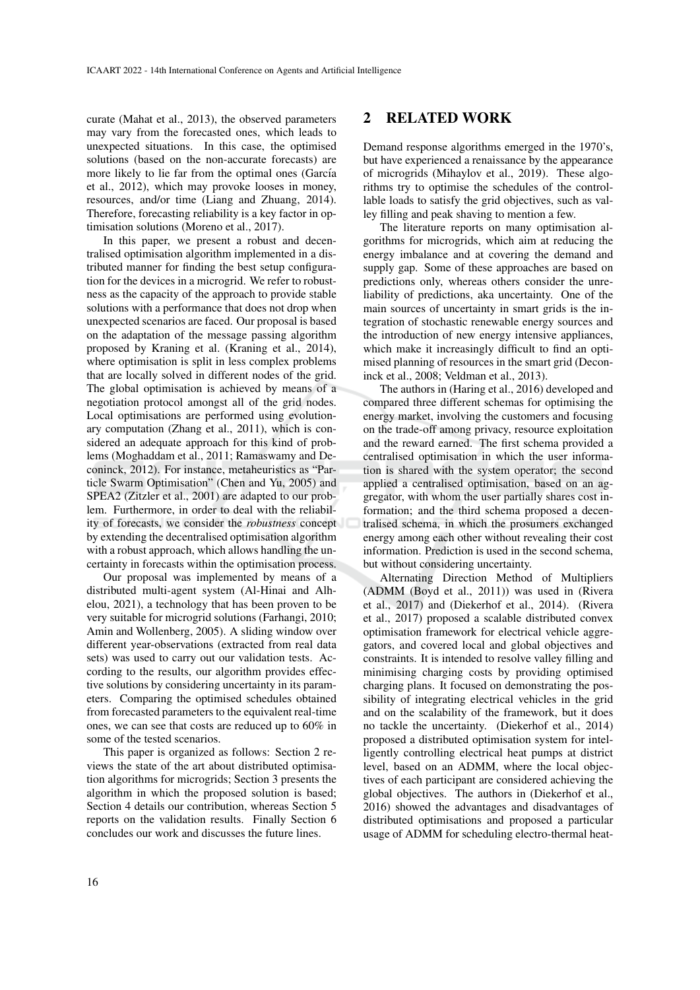curate (Mahat et al., 2013), the observed parameters may vary from the forecasted ones, which leads to unexpected situations. In this case, the optimised solutions (based on the non-accurate forecasts) are more likely to lie far from the optimal ones (García et al., 2012), which may provoke looses in money, resources, and/or time (Liang and Zhuang, 2014). Therefore, forecasting reliability is a key factor in optimisation solutions (Moreno et al., 2017).

In this paper, we present a robust and decentralised optimisation algorithm implemented in a distributed manner for finding the best setup configuration for the devices in a microgrid. We refer to robustness as the capacity of the approach to provide stable solutions with a performance that does not drop when unexpected scenarios are faced. Our proposal is based on the adaptation of the message passing algorithm proposed by Kraning et al. (Kraning et al., 2014), where optimisation is split in less complex problems that are locally solved in different nodes of the grid. The global optimisation is achieved by means of a negotiation protocol amongst all of the grid nodes. Local optimisations are performed using evolutionary computation (Zhang et al., 2011), which is considered an adequate approach for this kind of problems (Moghaddam et al., 2011; Ramaswamy and Deconinck, 2012). For instance, metaheuristics as "Particle Swarm Optimisation" (Chen and Yu, 2005) and SPEA2 (Zitzler et al., 2001) are adapted to our problem. Furthermore, in order to deal with the reliability of forecasts, we consider the *robustness* concept by extending the decentralised optimisation algorithm with a robust approach, which allows handling the uncertainty in forecasts within the optimisation process.

Our proposal was implemented by means of a distributed multi-agent system (Al-Hinai and Alhelou, 2021), a technology that has been proven to be very suitable for microgrid solutions (Farhangi, 2010; Amin and Wollenberg, 2005). A sliding window over different year-observations (extracted from real data sets) was used to carry out our validation tests. According to the results, our algorithm provides effective solutions by considering uncertainty in its parameters. Comparing the optimised schedules obtained from forecasted parameters to the equivalent real-time ones, we can see that costs are reduced up to 60% in some of the tested scenarios.

This paper is organized as follows: Section 2 reviews the state of the art about distributed optimisation algorithms for microgrids; Section 3 presents the algorithm in which the proposed solution is based; Section 4 details our contribution, whereas Section 5 reports on the validation results. Finally Section 6 concludes our work and discusses the future lines.

## 2 RELATED WORK

Demand response algorithms emerged in the 1970's, but have experienced a renaissance by the appearance of microgrids (Mihaylov et al., 2019). These algorithms try to optimise the schedules of the controllable loads to satisfy the grid objectives, such as valley filling and peak shaving to mention a few.

The literature reports on many optimisation algorithms for microgrids, which aim at reducing the energy imbalance and at covering the demand and supply gap. Some of these approaches are based on predictions only, whereas others consider the unreliability of predictions, aka uncertainty. One of the main sources of uncertainty in smart grids is the integration of stochastic renewable energy sources and the introduction of new energy intensive appliances, which make it increasingly difficult to find an optimised planning of resources in the smart grid (Deconinck et al., 2008; Veldman et al., 2013).

The authors in (Haring et al., 2016) developed and compared three different schemas for optimising the energy market, involving the customers and focusing on the trade-off among privacy, resource exploitation and the reward earned. The first schema provided a centralised optimisation in which the user information is shared with the system operator; the second applied a centralised optimisation, based on an aggregator, with whom the user partially shares cost information; and the third schema proposed a decentralised schema, in which the prosumers exchanged energy among each other without revealing their cost information. Prediction is used in the second schema, but without considering uncertainty.

Alternating Direction Method of Multipliers (ADMM (Boyd et al., 2011)) was used in (Rivera et al., 2017) and (Diekerhof et al., 2014). (Rivera et al., 2017) proposed a scalable distributed convex optimisation framework for electrical vehicle aggregators, and covered local and global objectives and constraints. It is intended to resolve valley filling and minimising charging costs by providing optimised charging plans. It focused on demonstrating the possibility of integrating electrical vehicles in the grid and on the scalability of the framework, but it does no tackle the uncertainty. (Diekerhof et al., 2014) proposed a distributed optimisation system for intelligently controlling electrical heat pumps at district level, based on an ADMM, where the local objectives of each participant are considered achieving the global objectives. The authors in (Diekerhof et al., 2016) showed the advantages and disadvantages of distributed optimisations and proposed a particular usage of ADMM for scheduling electro-thermal heat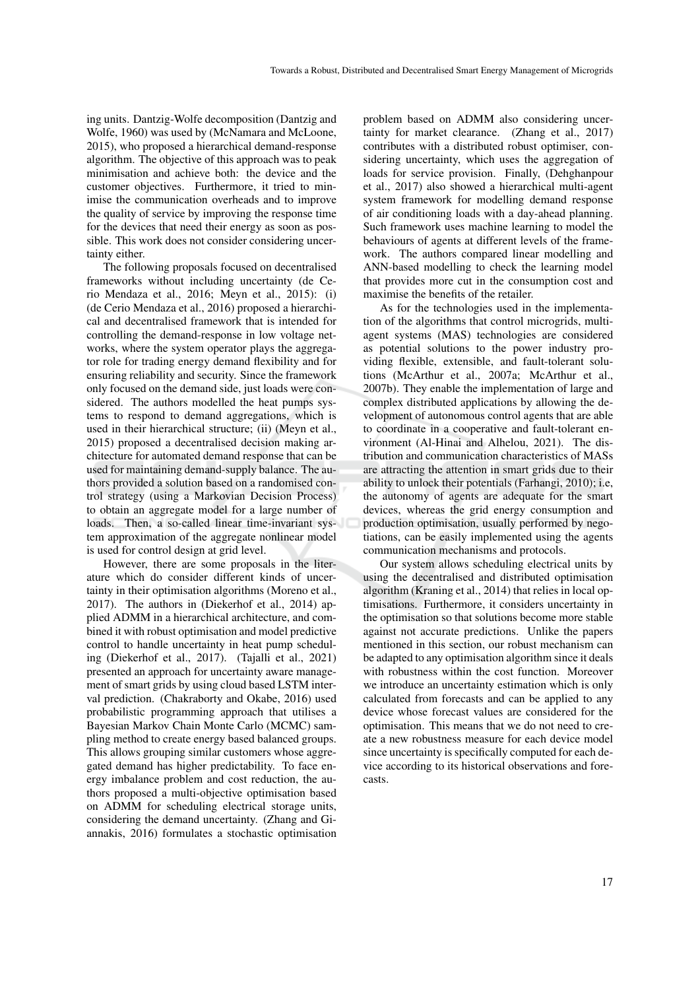ing units. Dantzig-Wolfe decomposition (Dantzig and Wolfe, 1960) was used by (McNamara and McLoone, 2015), who proposed a hierarchical demand-response algorithm. The objective of this approach was to peak minimisation and achieve both: the device and the customer objectives. Furthermore, it tried to minimise the communication overheads and to improve the quality of service by improving the response time for the devices that need their energy as soon as possible. This work does not consider considering uncertainty either.

The following proposals focused on decentralised frameworks without including uncertainty (de Cerio Mendaza et al., 2016; Meyn et al., 2015): (i) (de Cerio Mendaza et al., 2016) proposed a hierarchical and decentralised framework that is intended for controlling the demand-response in low voltage networks, where the system operator plays the aggregator role for trading energy demand flexibility and for ensuring reliability and security. Since the framework only focused on the demand side, just loads were considered. The authors modelled the heat pumps systems to respond to demand aggregations, which is used in their hierarchical structure; (ii) (Meyn et al., 2015) proposed a decentralised decision making architecture for automated demand response that can be used for maintaining demand-supply balance. The authors provided a solution based on a randomised control strategy (using a Markovian Decision Process) to obtain an aggregate model for a large number of loads. Then, a so-called linear time-invariant system approximation of the aggregate nonlinear model is used for control design at grid level.

However, there are some proposals in the literature which do consider different kinds of uncertainty in their optimisation algorithms (Moreno et al., 2017). The authors in (Diekerhof et al., 2014) applied ADMM in a hierarchical architecture, and combined it with robust optimisation and model predictive control to handle uncertainty in heat pump scheduling (Diekerhof et al., 2017). (Tajalli et al., 2021) presented an approach for uncertainty aware management of smart grids by using cloud based LSTM interval prediction. (Chakraborty and Okabe, 2016) used probabilistic programming approach that utilises a Bayesian Markov Chain Monte Carlo (MCMC) sampling method to create energy based balanced groups. This allows grouping similar customers whose aggregated demand has higher predictability. To face energy imbalance problem and cost reduction, the authors proposed a multi-objective optimisation based on ADMM for scheduling electrical storage units, considering the demand uncertainty. (Zhang and Giannakis, 2016) formulates a stochastic optimisation

problem based on ADMM also considering uncertainty for market clearance. (Zhang et al., 2017) contributes with a distributed robust optimiser, considering uncertainty, which uses the aggregation of loads for service provision. Finally, (Dehghanpour et al., 2017) also showed a hierarchical multi-agent system framework for modelling demand response of air conditioning loads with a day-ahead planning. Such framework uses machine learning to model the behaviours of agents at different levels of the framework. The authors compared linear modelling and ANN-based modelling to check the learning model that provides more cut in the consumption cost and maximise the benefits of the retailer.

As for the technologies used in the implementation of the algorithms that control microgrids, multiagent systems (MAS) technologies are considered as potential solutions to the power industry providing flexible, extensible, and fault-tolerant solutions (McArthur et al., 2007a; McArthur et al., 2007b). They enable the implementation of large and complex distributed applications by allowing the development of autonomous control agents that are able to coordinate in a cooperative and fault-tolerant environment (Al-Hinai and Alhelou, 2021). The distribution and communication characteristics of MASs are attracting the attention in smart grids due to their ability to unlock their potentials (Farhangi, 2010); i.e, the autonomy of agents are adequate for the smart devices, whereas the grid energy consumption and production optimisation, usually performed by negotiations, can be easily implemented using the agents communication mechanisms and protocols.

Our system allows scheduling electrical units by using the decentralised and distributed optimisation algorithm (Kraning et al., 2014) that relies in local optimisations. Furthermore, it considers uncertainty in the optimisation so that solutions become more stable against not accurate predictions. Unlike the papers mentioned in this section, our robust mechanism can be adapted to any optimisation algorithm since it deals with robustness within the cost function. Moreover we introduce an uncertainty estimation which is only calculated from forecasts and can be applied to any device whose forecast values are considered for the optimisation. This means that we do not need to create a new robustness measure for each device model since uncertainty is specifically computed for each device according to its historical observations and forecasts.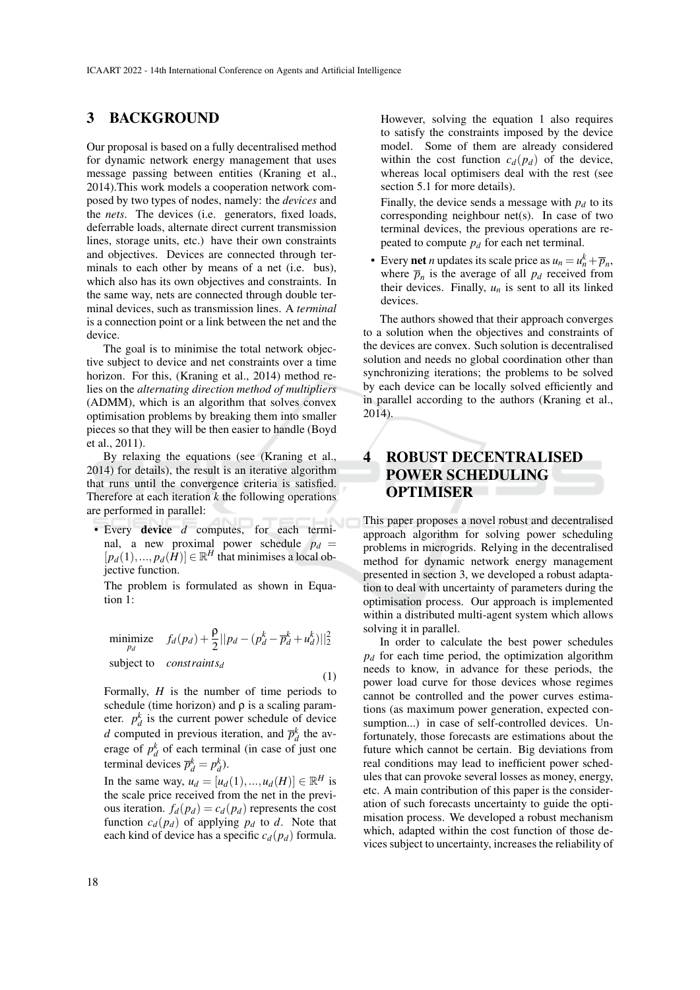# 3 BACKGROUND

Our proposal is based on a fully decentralised method for dynamic network energy management that uses message passing between entities (Kraning et al., 2014).This work models a cooperation network composed by two types of nodes, namely: the *devices* and the *nets*. The devices (i.e. generators, fixed loads, deferrable loads, alternate direct current transmission lines, storage units, etc.) have their own constraints and objectives. Devices are connected through terminals to each other by means of a net (i.e. bus), which also has its own objectives and constraints. In the same way, nets are connected through double terminal devices, such as transmission lines. A *terminal* is a connection point or a link between the net and the device.

The goal is to minimise the total network objective subject to device and net constraints over a time horizon. For this, (Kraning et al., 2014) method relies on the *alternating direction method of multipliers* (ADMM), which is an algorithm that solves convex optimisation problems by breaking them into smaller pieces so that they will be then easier to handle (Boyd et al., 2011).

By relaxing the equations (see (Kraning et al., 2014) for details), the result is an iterative algorithm that runs until the convergence criteria is satisfied. Therefore at each iteration *k* the following operations are performed in parallel:

• Every device *d* computes, for each terminal, a new proximal power schedule  $p_d =$  $[p_d(1),...,p_d(H)] \in \mathbb{R}^H$  that minimises a local objective function.

The problem is formulated as shown in Equation 1:

$$
\begin{aligned}\n\text{minimize} \quad f_d(p_d) + \frac{\rho}{2} ||p_d - (p_d^k - \overline{p}_d^k + u_d^k) ||_2^2 \\
\text{subject to} \quad \text{constraints}_d\n\end{aligned} \tag{1}
$$

Formally, *H* is the number of time periods to schedule (time horizon) and  $\rho$  is a scaling parameter.  $p_d^k$  is the current power schedule of device *d* computed in previous iteration, and  $\overline{p}_d^k$  the average of  $p_d^k$  of each terminal (in case of just one terminal devices  $\overline{p}_d^k = p_d^k$ ).

In the same way,  $u_d = [u_d(1), ..., u_d(H)] \in \mathbb{R}^H$  is the scale price received from the net in the previous iteration.  $f_d(p_d) = c_d(p_d)$  represents the cost function  $c_d(p_d)$  of applying  $p_d$  to *d*. Note that each kind of device has a specific  $c_d(p_d)$  formula.

However, solving the equation 1 also requires to satisfy the constraints imposed by the device model. Some of them are already considered within the cost function  $c_d(p_d)$  of the device, whereas local optimisers deal with the rest (see section 5.1 for more details).

Finally, the device sends a message with  $p_d$  to its corresponding neighbour net(s). In case of two terminal devices, the previous operations are repeated to compute  $p_d$  for each net terminal.

• Every **net** *n* updates its scale price as  $u_n = u_n^k + \overline{p}_n$ , where  $\overline{p}_n$  is the average of all  $p_d$  received from their devices. Finally,  $u_n$  is sent to all its linked devices.

The authors showed that their approach converges to a solution when the objectives and constraints of the devices are convex. Such solution is decentralised solution and needs no global coordination other than synchronizing iterations; the problems to be solved by each device can be locally solved efficiently and in parallel according to the authors (Kraning et al., 2014).

# 4 ROBUST DECENTRALISED POWER SCHEDULING OPTIMISER

This paper proposes a novel robust and decentralised approach algorithm for solving power scheduling problems in microgrids. Relying in the decentralised method for dynamic network energy management presented in section 3, we developed a robust adaptation to deal with uncertainty of parameters during the optimisation process. Our approach is implemented within a distributed multi-agent system which allows solving it in parallel.

In order to calculate the best power schedules  $p_d$  for each time period, the optimization algorithm needs to know, in advance for these periods, the power load curve for those devices whose regimes cannot be controlled and the power curves estimations (as maximum power generation, expected consumption...) in case of self-controlled devices. Unfortunately, those forecasts are estimations about the future which cannot be certain. Big deviations from real conditions may lead to inefficient power schedules that can provoke several losses as money, energy, etc. A main contribution of this paper is the consideration of such forecasts uncertainty to guide the optimisation process. We developed a robust mechanism which, adapted within the cost function of those devices subject to uncertainty, increases the reliability of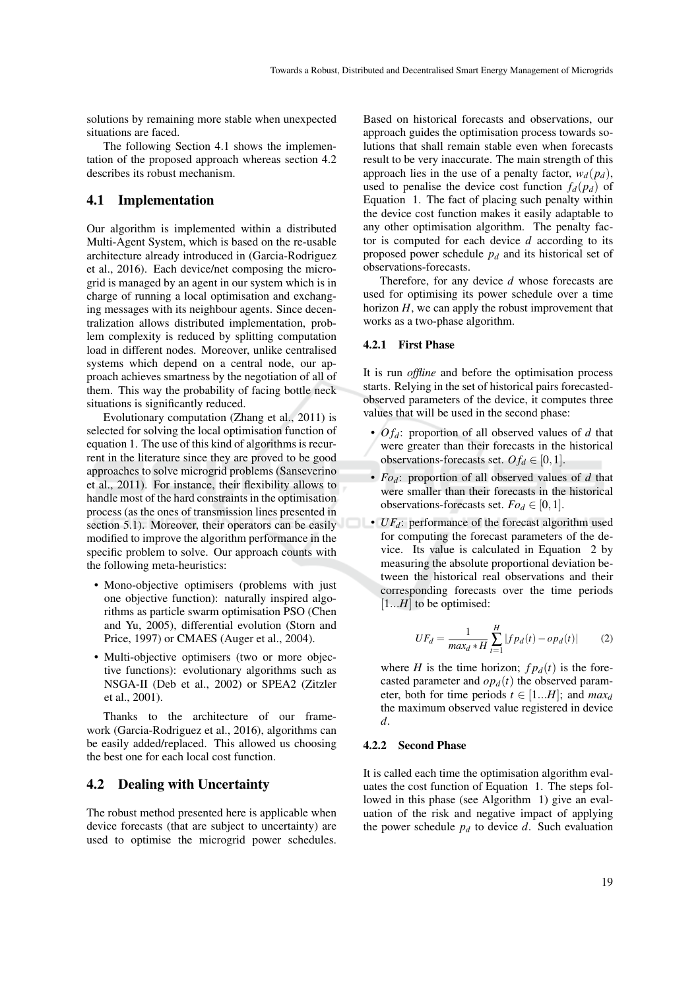solutions by remaining more stable when unexpected situations are faced.

The following Section 4.1 shows the implementation of the proposed approach whereas section 4.2 describes its robust mechanism.

### 4.1 Implementation

Our algorithm is implemented within a distributed Multi-Agent System, which is based on the re-usable architecture already introduced in (Garcia-Rodriguez et al., 2016). Each device/net composing the microgrid is managed by an agent in our system which is in charge of running a local optimisation and exchanging messages with its neighbour agents. Since decentralization allows distributed implementation, problem complexity is reduced by splitting computation load in different nodes. Moreover, unlike centralised systems which depend on a central node, our approach achieves smartness by the negotiation of all of them. This way the probability of facing bottle neck situations is significantly reduced.

Evolutionary computation (Zhang et al., 2011) is selected for solving the local optimisation function of equation 1. The use of this kind of algorithms is recurrent in the literature since they are proved to be good approaches to solve microgrid problems (Sanseverino et al., 2011). For instance, their flexibility allows to handle most of the hard constraints in the optimisation process (as the ones of transmission lines presented in section 5.1). Moreover, their operators can be easily modified to improve the algorithm performance in the specific problem to solve. Our approach counts with the following meta-heuristics:

- Mono-objective optimisers (problems with just one objective function): naturally inspired algorithms as particle swarm optimisation PSO (Chen and Yu, 2005), differential evolution (Storn and Price, 1997) or CMAES (Auger et al., 2004).
- Multi-objective optimisers (two or more objective functions): evolutionary algorithms such as NSGA-II (Deb et al., 2002) or SPEA2 (Zitzler et al., 2001).

Thanks to the architecture of our framework (Garcia-Rodriguez et al., 2016), algorithms can be easily added/replaced. This allowed us choosing the best one for each local cost function.

### 4.2 Dealing with Uncertainty

The robust method presented here is applicable when device forecasts (that are subject to uncertainty) are used to optimise the microgrid power schedules.

Based on historical forecasts and observations, our approach guides the optimisation process towards solutions that shall remain stable even when forecasts result to be very inaccurate. The main strength of this approach lies in the use of a penalty factor,  $w_d(p_d)$ , used to penalise the device cost function  $f_d(p_d)$  of Equation 1. The fact of placing such penalty within the device cost function makes it easily adaptable to any other optimisation algorithm. The penalty factor is computed for each device *d* according to its proposed power schedule *p<sup>d</sup>* and its historical set of observations-forecasts.

Therefore, for any device *d* whose forecasts are used for optimising its power schedule over a time horizon *H*, we can apply the robust improvement that works as a two-phase algorithm.

#### 4.2.1 First Phase

It is run *offline* and before the optimisation process starts. Relying in the set of historical pairs forecastedobserved parameters of the device, it computes three values that will be used in the second phase:

- $O f_d$ : proportion of all observed values of  $d$  that were greater than their forecasts in the historical observations-forecasts set.  $O f_d \in [0,1]$ .
- *Fod*: proportion of all observed values of *d* that were smaller than their forecasts in the historical observations-forecasts set.  $Fo_d \in [0,1]$ .
- $\bullet$  *UF<sub>d</sub>*: performance of the forecast algorithm used for computing the forecast parameters of the device. Its value is calculated in Equation 2 by measuring the absolute proportional deviation between the historical real observations and their corresponding forecasts over the time periods [1...*H*] to be optimised:

$$
UF_d = \frac{1}{max_d * H} \sum_{t=1}^{H} |f p_d(t) - o p_d(t)|
$$
 (2)

where *H* is the time horizon;  $fp_d(t)$  is the forecasted parameter and  $op<sub>d</sub>(t)$  the observed parameter, both for time periods  $t \in [1...H]$ ; and  $max_d$ the maximum observed value registered in device *d*.

#### 4.2.2 Second Phase

It is called each time the optimisation algorithm evaluates the cost function of Equation 1. The steps followed in this phase (see Algorithm 1) give an evaluation of the risk and negative impact of applying the power schedule  $p_d$  to device  $d$ . Such evaluation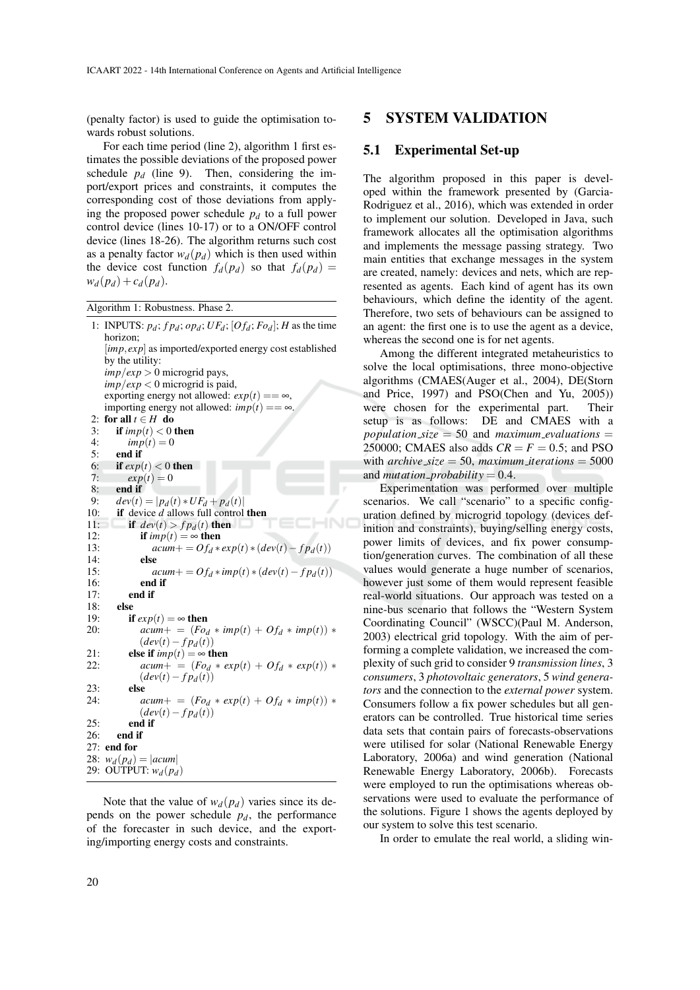(penalty factor) is used to guide the optimisation towards robust solutions.

For each time period (line 2), algorithm 1 first estimates the possible deviations of the proposed power schedule  $p_d$  (line 9). Then, considering the import/export prices and constraints, it computes the corresponding cost of those deviations from applying the proposed power schedule  $p_d$  to a full power control device (lines 10-17) or to a ON/OFF control device (lines 18-26). The algorithm returns such cost as a penalty factor  $w_d(p_d)$  which is then used within the device cost function  $f_d(p_d)$  so that  $f_d(p_d)$  =  $w_d(p_d) + c_d(p_d)$ .

Algorithm 1: Robustness. Phase 2.

```
1: INPUTS: p_d; fp_d; op_d; UF_d; [Of_d; Fo_d]; H as the time
    horizon;
    [imp, exp] as imported/exported energy cost established
    by the utility:
    imp/exp > 0 microgrid pays,
    imp/exp < 0 microgrid is paid,
    exporting energy not allowed: exp(t) == \infty,
    importing energy not allowed: imp(t) == \infty.
2: for all t \in H do
3: if \lim p(t) < 0 then<br>4: \lim p(t) = 0imp(t) = 05: end if
6: if exp(t) < 0 then
7: exp(t) = 08: end if<br>9: dev(t)9: dev(t) = |p_d(t) * UF_d + p_d(t)|<br>10: if device d allows full control
        if device d allows full control then
11: if dev(t) > fp_d(t) then<br>12: if imp(t) = \infty then
12: if imp(t) = \infty then<br>13: acum + = Of_d *13: acum + = Of_d * exp(t) * (dev(t) - fp_d(t))<br>14: else
14: else<br>15: a15: acum += Of_d * imp(t) * (dev(t) - fp_d(t))<br>16: end if
              end if
17: end if
18: else
19: if exp(t) = \infty then<br>20: acum + 1 = (Fo)acum + = (Fo_d * imp(t) + Of_d * imp(t)) *(dev(t)-fp_d(t))21: else if imp(t) = \infty then<br>22: acum + \in (F_{Q,t} * e)acum + = (F_{0d} * exp(t) + Of_{d} * exp(t)) *(dev(t)-fp<sub>d</sub>(t))23: else<br>24: aacum + = (Fo_d * exp(t) + Of_d * imp(t)) *(dev(t)-fp<sub>d</sub>(t))25 end if
26: end if
27: end for
28: w_d(p_d) = |acum|29: OUTPUT: w_d(p_d)
```
Note that the value of  $w_d(p_d)$  varies since its depends on the power schedule  $p_d$ , the performance of the forecaster in such device, and the exporting/importing energy costs and constraints.

## 5 SYSTEM VALIDATION

## 5.1 Experimental Set-up

The algorithm proposed in this paper is developed within the framework presented by (Garcia-Rodriguez et al., 2016), which was extended in order to implement our solution. Developed in Java, such framework allocates all the optimisation algorithms and implements the message passing strategy. Two main entities that exchange messages in the system are created, namely: devices and nets, which are represented as agents. Each kind of agent has its own behaviours, which define the identity of the agent. Therefore, two sets of behaviours can be assigned to an agent: the first one is to use the agent as a device, whereas the second one is for net agents.

Among the different integrated metaheuristics to solve the local optimisations, three mono-objective algorithms (CMAES(Auger et al., 2004), DE(Storn and Price, 1997) and PSO(Chen and Yu, 2005)) were chosen for the experimental part. Their setup is as follows: DE and CMAES with a  $population\_size = 50$  and  $maximum\_evaluations =$ 250000; CMAES also adds  $CR = F = 0.5$ ; and PSO with  $\archive\_size = 50$ ,  $\textit{maximum}\_iteration = 5000$ and *mutation\_probability* =  $0.4$ .

Experimentation was performed over multiple scenarios. We call "scenario" to a specific configuration defined by microgrid topology (devices definition and constraints), buying/selling energy costs, power limits of devices, and fix power consumption/generation curves. The combination of all these values would generate a huge number of scenarios, however just some of them would represent feasible real-world situations. Our approach was tested on a nine-bus scenario that follows the "Western System Coordinating Council" (WSCC)(Paul M. Anderson, 2003) electrical grid topology. With the aim of performing a complete validation, we increased the complexity of such grid to consider 9 *transmission lines*, 3 *consumers*, 3 *photovoltaic generators*, 5 *wind generators* and the connection to the *external power* system. Consumers follow a fix power schedules but all generators can be controlled. True historical time series data sets that contain pairs of forecasts-observations were utilised for solar (National Renewable Energy Laboratory, 2006a) and wind generation (National Renewable Energy Laboratory, 2006b). Forecasts were employed to run the optimisations whereas observations were used to evaluate the performance of the solutions. Figure 1 shows the agents deployed by our system to solve this test scenario.

In order to emulate the real world, a sliding win-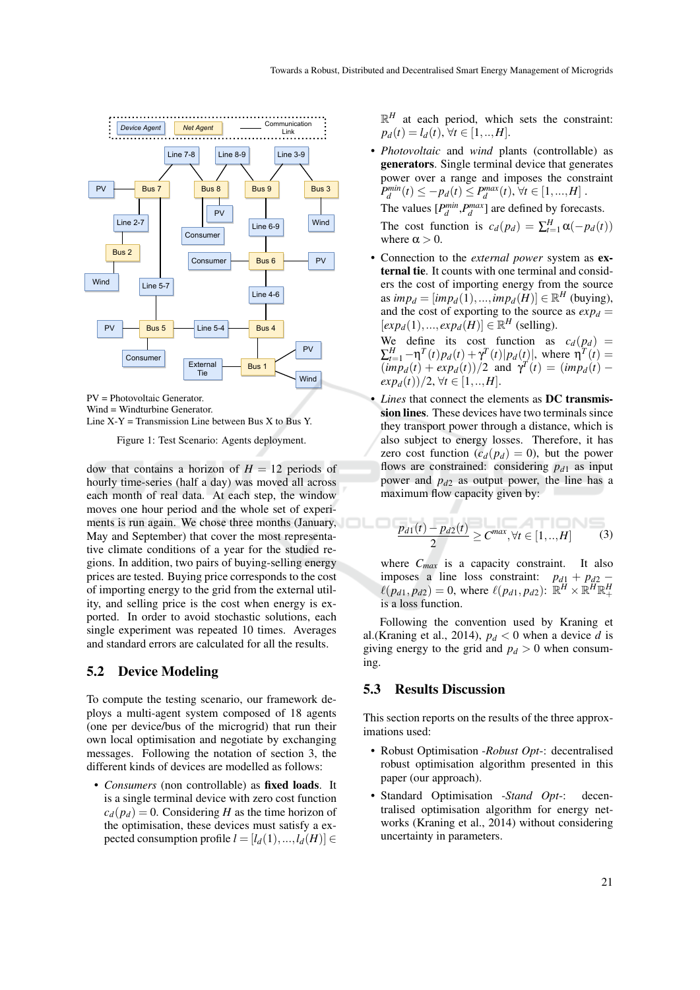

PV = Photovoltaic Generator. Wind = Windturbine Generator. Line  $X-Y =$  Transmission Line between Bus X to Bus Y.

Figure 1: Test Scenario: Agents deployment.

dow that contains a horizon of  $H = 12$  periods of hourly time-series (half a day) was moved all across each month of real data. At each step, the window moves one hour period and the whole set of experiments is run again. We chose three months (January, May and September) that cover the most representative climate conditions of a year for the studied regions. In addition, two pairs of buying-selling energy prices are tested. Buying price corresponds to the cost of importing energy to the grid from the external utility, and selling price is the cost when energy is exported. In order to avoid stochastic solutions, each single experiment was repeated 10 times. Averages and standard errors are calculated for all the results.

### 5.2 Device Modeling

To compute the testing scenario, our framework deploys a multi-agent system composed of 18 agents (one per device/bus of the microgrid) that run their own local optimisation and negotiate by exchanging messages. Following the notation of section 3, the different kinds of devices are modelled as follows:

• *Consumers* (non controllable) as fixed loads. It is a single terminal device with zero cost function  $c_d(p_d) = 0$ . Considering *H* as the time horizon of the optimisation, these devices must satisfy a expected consumption profile  $l = [l_d(1),...,l_d(H)] \in$ 

 $\mathbb{R}^H$  at each period, which sets the constraint:  $p_d(t) = l_d(t), \forall t \in [1, ..., H].$ 

• *Photovoltaic* and *wind* plants (controllable) as generators. Single terminal device that generates power over a range and imposes the constraint  $P_d^{min}(t) \le -p_d(t) \le P_d^{max}(t), \forall t \in [1, ..., H].$ The values  $[P_d^{min}, P_d^{max}]$  are defined by forecasts.

The cost function is  $c_d(p_d) = \sum_{t=1}^H \alpha(-p_d(t))$ where  $\alpha > 0$ .

• Connection to the *external power* system as external tie. It counts with one terminal and considers the cost of importing energy from the source as  $\text{im} p_d = [\text{im} p_d(1),...,\text{im} p_d(H)] \in \mathbb{R}^H$  (buying), and the cost of exporting to the source as  $exp_d =$  $[exp<sub>d</sub>(1),..., exp<sub>d</sub>(H)] \in \mathbb{R}^H$  (selling).

We define its cost function as  $c_d(p_d)$  =  $\sum_{t=1}^{H} -\eta^{T}(t)p_{d}(t) + \gamma^{T}(t)|p_{d}(t)|$ , where  $\eta^{T}(t) =$  $(imp_d(t) + exp_d(t))/2$  and  $\gamma^T(t) = (imp_d(t)$  $exp_d(t)/2, \forall t \in [1, ..., H].$ 

*Lines* that connect the elements as **DC** transmission lines. These devices have two terminals since they transport power through a distance, which is also subject to energy losses. Therefore, it has zero cost function  $(c_d(p_d) = 0)$ , but the power flows are constrained: considering  $p_{d1}$  as input power and *pd*<sup>2</sup> as output power, the line has a maximum flow capacity given by:

$$
\frac{p_{d1}(t) - p_{d2}(t)}{2} \ge C^{max}, \forall t \in [1, ..., H]
$$
 (3)

where *Cmax* is a capacity constraint. It also imposes a line loss constraint:  $p_{d1} + p_{d2} \ell(p_{d1}, p_{d2}) = 0$ , where  $\ell(p_{d1}, p_{d2})$ :  $\mathbb{R}^H \times \mathbb{R}^H \mathbb{R}^H_+$ is a loss function.

Following the convention used by Kraning et al.(Kraning et al., 2014),  $p_d < 0$  when a device *d* is giving energy to the grid and  $p_d > 0$  when consuming.

## 5.3 Results Discussion

This section reports on the results of the three approximations used:

- Robust Optimisation -*Robust Opt*-: decentralised robust optimisation algorithm presented in this paper (our approach).
- Standard Optimisation -*Stand Opt*-: decentralised optimisation algorithm for energy networks (Kraning et al., 2014) without considering uncertainty in parameters.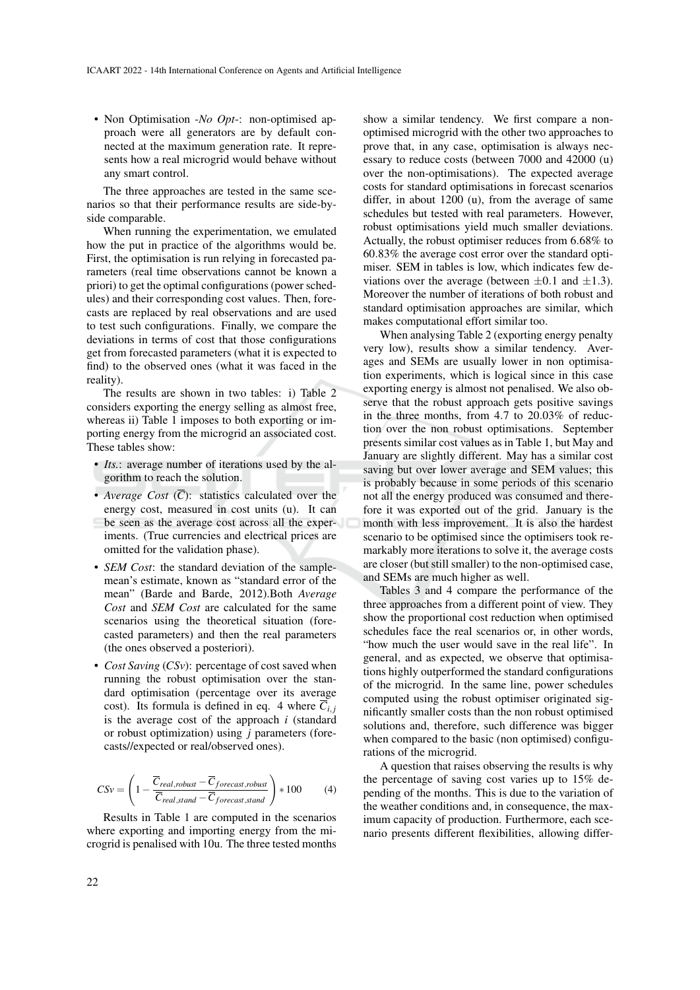• Non Optimisation -*No Opt*-: non-optimised approach were all generators are by default connected at the maximum generation rate. It represents how a real microgrid would behave without any smart control.

The three approaches are tested in the same scenarios so that their performance results are side-byside comparable.

When running the experimentation, we emulated how the put in practice of the algorithms would be. First, the optimisation is run relying in forecasted parameters (real time observations cannot be known a priori) to get the optimal configurations (power schedules) and their corresponding cost values. Then, forecasts are replaced by real observations and are used to test such configurations. Finally, we compare the deviations in terms of cost that those configurations get from forecasted parameters (what it is expected to find) to the observed ones (what it was faced in the reality).

The results are shown in two tables: i) Table 2 considers exporting the energy selling as almost free, whereas ii) Table 1 imposes to both exporting or importing energy from the microgrid an associated cost. These tables show:

- *Its.*: average number of iterations used by the algorithm to reach the solution.
- *Average Cost*  $(\overline{C})$ : statistics calculated over the energy cost, measured in cost units (u). It can be seen as the average cost across all the experiments. (True currencies and electrical prices are omitted for the validation phase).
- *SEM Cost*: the standard deviation of the samplemean's estimate, known as "standard error of the mean" (Barde and Barde, 2012).Both *Average Cost* and *SEM Cost* are calculated for the same scenarios using the theoretical situation (forecasted parameters) and then the real parameters (the ones observed a posteriori).
- *Cost Saving* (*CSv*): percentage of cost saved when running the robust optimisation over the standard optimisation (percentage over its average cost). Its formula is defined in eq. 4 where  $\overline{C_i}$ , is the average cost of the approach *i* (standard or robust optimization) using *j* parameters (forecasts//expected or real/observed ones).

$$
CSv = \left(1 - \frac{\overline{C}_{real, robust} - \overline{C}_{foreast, robust}}{\overline{C}_{real,stand} - \overline{C}_{forecast, stand}}\right) * 100
$$
 (4)

Results in Table 1 are computed in the scenarios where exporting and importing energy from the microgrid is penalised with 10u. The three tested months

show a similar tendency. We first compare a nonoptimised microgrid with the other two approaches to prove that, in any case, optimisation is always necessary to reduce costs (between 7000 and 42000 (u) over the non-optimisations). The expected average costs for standard optimisations in forecast scenarios differ, in about 1200 (u), from the average of same schedules but tested with real parameters. However, robust optimisations yield much smaller deviations. Actually, the robust optimiser reduces from 6.68% to 60.83% the average cost error over the standard optimiser. SEM in tables is low, which indicates few deviations over the average (between  $\pm 0.1$  and  $\pm 1.3$ ). Moreover the number of iterations of both robust and standard optimisation approaches are similar, which makes computational effort similar too.

When analysing Table 2 (exporting energy penalty very low), results show a similar tendency. Averages and SEMs are usually lower in non optimisation experiments, which is logical since in this case exporting energy is almost not penalised. We also observe that the robust approach gets positive savings in the three months, from 4.7 to 20.03% of reduction over the non robust optimisations. September presents similar cost values as in Table 1, but May and January are slightly different. May has a similar cost saving but over lower average and SEM values; this is probably because in some periods of this scenario not all the energy produced was consumed and therefore it was exported out of the grid. January is the month with less improvement. It is also the hardest scenario to be optimised since the optimisers took remarkably more iterations to solve it, the average costs are closer (but still smaller) to the non-optimised case, and SEMs are much higher as well.

Tables 3 and 4 compare the performance of the three approaches from a different point of view. They show the proportional cost reduction when optimised schedules face the real scenarios or, in other words, "how much the user would save in the real life". In general, and as expected, we observe that optimisations highly outperformed the standard configurations of the microgrid. In the same line, power schedules computed using the robust optimiser originated significantly smaller costs than the non robust optimised solutions and, therefore, such difference was bigger when compared to the basic (non optimised) configurations of the microgrid.

A question that raises observing the results is why the percentage of saving cost varies up to 15% depending of the months. This is due to the variation of the weather conditions and, in consequence, the maximum capacity of production. Furthermore, each scenario presents different flexibilities, allowing differ-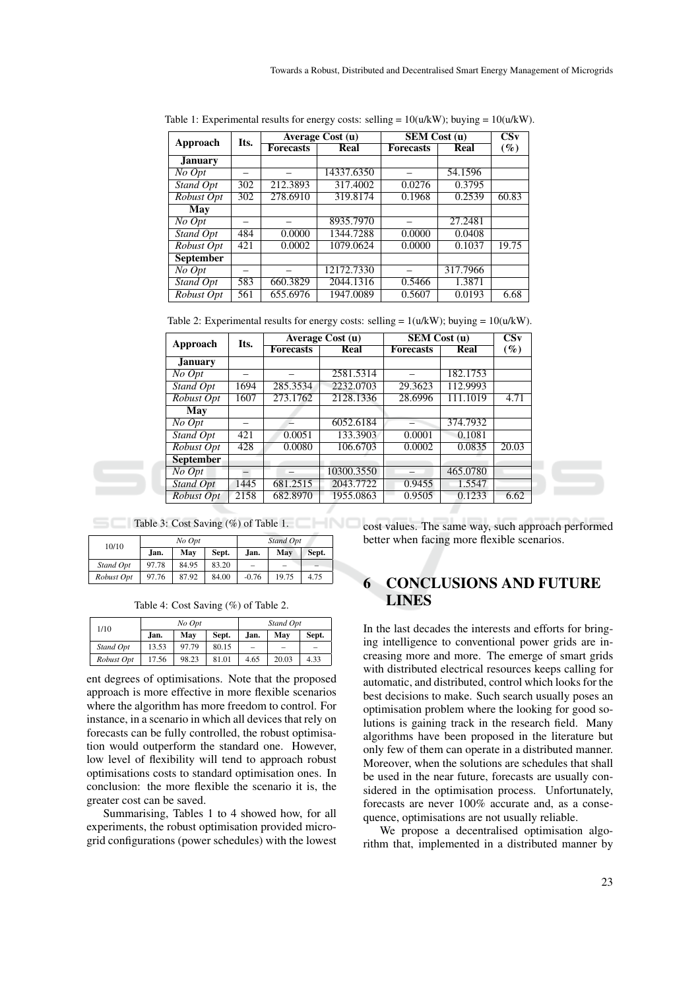| Approach         | Its. | Average Cost $(u)$ |             | <b>SEM Cost (u)</b> |          | CS <sub>v</sub> |
|------------------|------|--------------------|-------------|---------------------|----------|-----------------|
|                  |      | <b>Forecasts</b>   | <b>Real</b> | <b>Forecasts</b>    | Real     | $(\%)$          |
| <b>January</b>   |      |                    |             |                     |          |                 |
| No Opt           |      |                    | 14337.6350  |                     | 54.1596  |                 |
| Stand Opt        | 302  | 212.3893           | 317.4002    | 0.0276              | 0.3795   |                 |
| Robust Opt       | 302  | 278.6910           | 319.8174    | 0.1968              | 0.2539   | 60.83           |
| May              |      |                    |             |                     |          |                 |
| No Opt           |      |                    | 8935.7970   |                     | 27.2481  |                 |
| Stand Opt        | 484  | 0.0000             | 1344.7288   | 0.0000              | 0.0408   |                 |
| Robust Opt       | 421  | 0.0002             | 1079.0624   | 0.0000              | 0.1037   | 19.75           |
| <b>September</b> |      |                    |             |                     |          |                 |
| No Opt           |      |                    | 12172.7330  |                     | 317.7966 |                 |
| Stand Opt        | 583  | 660.3829           | 2044.1316   | 0.5466              | 1.3871   |                 |
| Robust Opt       | 561  | 655.6976           | 1947.0089   | 0.5607              | 0.0193   | 6.68            |

Table 1: Experimental results for energy costs: selling =  $10(u/kW)$ ; buying =  $10(u/kW)$ .

Table 2: Experimental results for energy costs: selling =  $1(u/kW)$ ; buying =  $10(u/kW)$ .

| Approach         | Its. |                  | Average Cost (u) | <b>SEM Cost (u)</b> | $\overline{\text{Csv}}$ |        |
|------------------|------|------------------|------------------|---------------------|-------------------------|--------|
|                  |      | <b>Forecasts</b> | Real             | <b>Forecasts</b>    | Real                    | $(\%)$ |
| <b>January</b>   |      |                  |                  |                     |                         |        |
| No Opt           |      |                  | 2581.5314        |                     | 182.1753                |        |
| Stand Opt        | 1694 | 285.3534         | 2232.0703        | 29.3623             | 112.9993                |        |
| Robust Opt       | 1607 | 273.1762         | 2128.1336        | 28.6996             | 111.1019                | 4.71   |
| May              |      |                  |                  |                     |                         |        |
| No Opt           |      |                  | 6052.6184        |                     | 374.7932                |        |
| Stand Opt        | 421  | 0.0051           | 133.3903         | 0.0001              | 0.1081                  |        |
| Robust Opt       | 428  | 0.0080           | 106.6703         | 0.0002              | 0.0835                  | 20.03  |
| <b>September</b> |      |                  |                  |                     |                         |        |
| No Opt           |      |                  | 10300.3550       |                     | 465.0780                |        |
| Stand Opt        | 1445 | 681.2515         | 2043.7722        | 0.9455              | 1.5547                  |        |
| Robust Opt       | 2158 | 682.8970         | 1955.0863        | 0.9505              | 0.1233                  | 6.62   |

#### Table 3: Cost Saving (%) of Table 1.

| 10/10      |       | No Opt |       | Stand Opt         |                          |       |
|------------|-------|--------|-------|-------------------|--------------------------|-------|
|            | Jan.  | May    | Sept. | Jan.              | May                      | Sept. |
| Stand Opt  | 97.78 | 84.95  | 83.20 | $\qquad \qquad -$ | $\overline{\phantom{0}}$ |       |
| Robust Opt | 97.76 | 87.92  | 84.00 | $-0.76$           | 19.75                    | 4.75  |

Table 4: Cost Saving (%) of Table 2.

| 1/10       |       | No Opt |       | Stand Opt                |          |                          |
|------------|-------|--------|-------|--------------------------|----------|--------------------------|
|            | Jan.  | Mav    | Sept. | Jan.                     | May      | Sept.                    |
| Stand Opt  | 13.53 | 97.79  | 80.15 | $\overline{\phantom{a}}$ | $\equiv$ | $\overline{\phantom{a}}$ |
| Robust Opt | 17.56 | 98.23  | 81.01 | 4.65                     | 20.03    | 4.33                     |

ent degrees of optimisations. Note that the proposed approach is more effective in more flexible scenarios where the algorithm has more freedom to control. For instance, in a scenario in which all devices that rely on forecasts can be fully controlled, the robust optimisation would outperform the standard one. However, low level of flexibility will tend to approach robust optimisations costs to standard optimisation ones. In conclusion: the more flexible the scenario it is, the greater cost can be saved.

Summarising, Tables 1 to 4 showed how, for all experiments, the robust optimisation provided microgrid configurations (power schedules) with the lowest cost values. The same way, such approach performed better when facing more flexible scenarios.

# 6 CONCLUSIONS AND FUTURE LINES

In the last decades the interests and efforts for bringing intelligence to conventional power grids are increasing more and more. The emerge of smart grids with distributed electrical resources keeps calling for automatic, and distributed, control which looks for the best decisions to make. Such search usually poses an optimisation problem where the looking for good solutions is gaining track in the research field. Many algorithms have been proposed in the literature but only few of them can operate in a distributed manner. Moreover, when the solutions are schedules that shall be used in the near future, forecasts are usually considered in the optimisation process. Unfortunately, forecasts are never 100% accurate and, as a consequence, optimisations are not usually reliable.

We propose a decentralised optimisation algorithm that, implemented in a distributed manner by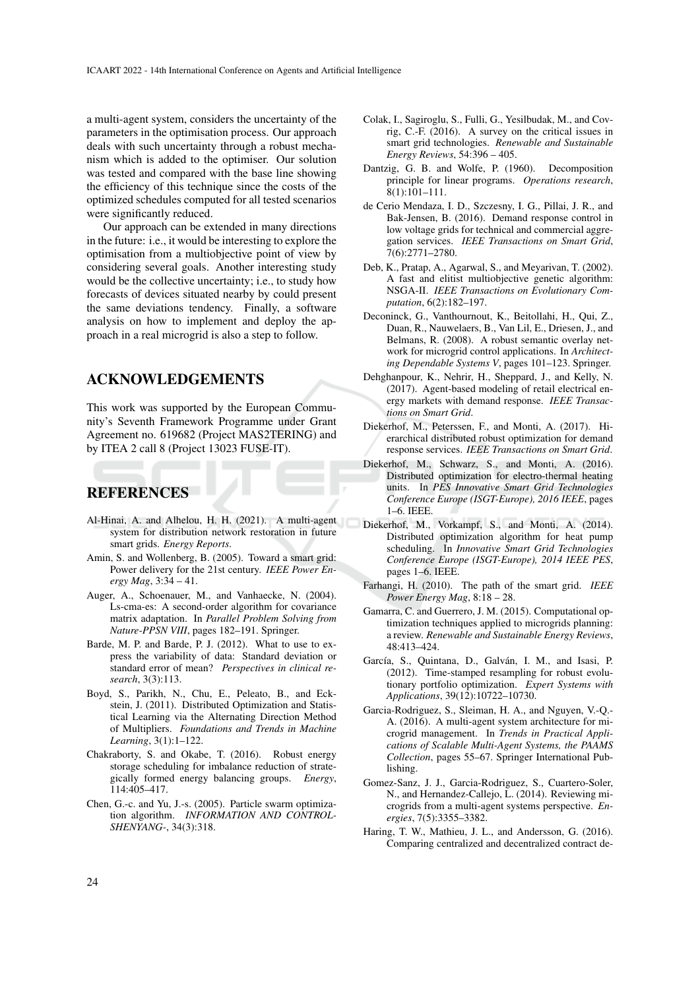a multi-agent system, considers the uncertainty of the parameters in the optimisation process. Our approach deals with such uncertainty through a robust mechanism which is added to the optimiser. Our solution was tested and compared with the base line showing the efficiency of this technique since the costs of the optimized schedules computed for all tested scenarios were significantly reduced.

Our approach can be extended in many directions in the future: i.e., it would be interesting to explore the optimisation from a multiobjective point of view by considering several goals. Another interesting study would be the collective uncertainty; i.e., to study how forecasts of devices situated nearby by could present the same deviations tendency. Finally, a software analysis on how to implement and deploy the approach in a real microgrid is also a step to follow.

## ACKNOWLEDGEMENTS

This work was supported by the European Community's Seventh Framework Programme under Grant Agreement no. 619682 (Project MAS2TERING) and by ITEA 2 call 8 (Project 13023 FUSE-IT).

# REFERENCES

- Al-Hinai, A. and Alhelou, H. H. (2021). A multi-agent system for distribution network restoration in future smart grids. *Energy Reports*.
- Amin, S. and Wollenberg, B. (2005). Toward a smart grid: Power delivery for the 21st century. *IEEE Power Energy Mag*, 3:34 – 41.
- Auger, A., Schoenauer, M., and Vanhaecke, N. (2004). Ls-cma-es: A second-order algorithm for covariance matrix adaptation. In *Parallel Problem Solving from Nature-PPSN VIII*, pages 182–191. Springer.
- Barde, M. P. and Barde, P. J. (2012). What to use to express the variability of data: Standard deviation or standard error of mean? *Perspectives in clinical research*, 3(3):113.
- Boyd, S., Parikh, N., Chu, E., Peleato, B., and Eckstein, J. (2011). Distributed Optimization and Statistical Learning via the Alternating Direction Method of Multipliers. *Foundations and Trends in Machine Learning*, 3(1):1–122.
- Chakraborty, S. and Okabe, T. (2016). Robust energy storage scheduling for imbalance reduction of strategically formed energy balancing groups. *Energy*, 114:405–417.
- Chen, G.-c. and Yu, J.-s. (2005). Particle swarm optimization algorithm. *INFORMATION AND CONTROL-SHENYANG-*, 34(3):318.
- Colak, I., Sagiroglu, S., Fulli, G., Yesilbudak, M., and Covrig, C.-F. (2016). A survey on the critical issues in smart grid technologies. *Renewable and Sustainable Energy Reviews*, 54:396 – 405.
- Dantzig, G. B. and Wolfe, P. (1960). Decomposition principle for linear programs. *Operations research*, 8(1):101–111.
- de Cerio Mendaza, I. D., Szczesny, I. G., Pillai, J. R., and Bak-Jensen, B. (2016). Demand response control in low voltage grids for technical and commercial aggregation services. *IEEE Transactions on Smart Grid*, 7(6):2771–2780.
- Deb, K., Pratap, A., Agarwal, S., and Meyarivan, T. (2002). A fast and elitist multiobjective genetic algorithm: NSGA-II. *IEEE Transactions on Evolutionary Computation*, 6(2):182–197.
- Deconinck, G., Vanthournout, K., Beitollahi, H., Qui, Z., Duan, R., Nauwelaers, B., Van Lil, E., Driesen, J., and Belmans, R. (2008). A robust semantic overlay network for microgrid control applications. In *Architecting Dependable Systems V*, pages 101–123. Springer.
- Dehghanpour, K., Nehrir, H., Sheppard, J., and Kelly, N. (2017). Agent-based modeling of retail electrical energy markets with demand response. *IEEE Transactions on Smart Grid*.
- Diekerhof, M., Peterssen, F., and Monti, A. (2017). Hierarchical distributed robust optimization for demand response services. *IEEE Transactions on Smart Grid*.
- Diekerhof, M., Schwarz, S., and Monti, A. (2016). Distributed optimization for electro-thermal heating units. In *PES Innovative Smart Grid Technologies Conference Europe (ISGT-Europe), 2016 IEEE*, pages 1–6. IEEE.
- Diekerhof, M., Vorkampf, S., and Monti, A. (2014). Distributed optimization algorithm for heat pump scheduling. In *Innovative Smart Grid Technologies Conference Europe (ISGT-Europe), 2014 IEEE PES*, pages 1–6. IEEE.
- Farhangi, H. (2010). The path of the smart grid. *IEEE Power Energy Mag*, 8:18 – 28.
- Gamarra, C. and Guerrero, J. M. (2015). Computational optimization techniques applied to microgrids planning: a review. *Renewable and Sustainable Energy Reviews*, 48:413–424.
- García, S., Quintana, D., Galván, I. M., and Isasi, P. (2012). Time-stamped resampling for robust evolutionary portfolio optimization. *Expert Systems with Applications*, 39(12):10722–10730.
- Garcia-Rodriguez, S., Sleiman, H. A., and Nguyen, V.-Q.- A. (2016). A multi-agent system architecture for microgrid management. In *Trends in Practical Applications of Scalable Multi-Agent Systems, the PAAMS Collection*, pages 55–67. Springer International Publishing.
- Gomez-Sanz, J. J., Garcia-Rodriguez, S., Cuartero-Soler, N., and Hernandez-Callejo, L. (2014). Reviewing microgrids from a multi-agent systems perspective. *Energies*, 7(5):3355–3382.
- Haring, T. W., Mathieu, J. L., and Andersson, G. (2016). Comparing centralized and decentralized contract de-